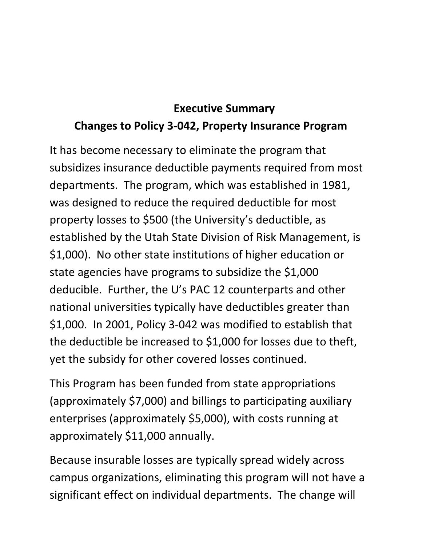## **Executive Summary Changes to Policy 3-042, Property Insurance Program**

It has become necessary to eliminate the program that subsidizes insurance deductible payments required from most departments. The program, which was established in 1981, was designed to reduce the required deductible for most property losses to \$500 (the University's deductible, as established by the Utah State Division of Risk Management, is \$1,000). No other state institutions of higher education or state agencies have programs to subsidize the \$1,000 deducible. Further, the U's PAC 12 counterparts and other national universities typically have deductibles greater than \$1,000. In 2001, Policy 3-042 was modified to establish that the deductible be increased to \$1,000 for losses due to theft, yet the subsidy for other covered losses continued.

This Program has been funded from state appropriations (approximately \$7,000) and billings to participating auxiliary enterprises (approximately \$5,000), with costs running at approximately \$11,000 annually.

Because insurable losses are typically spread widely across campus organizations, eliminating this program will not have a significant effect on individual departments. The change will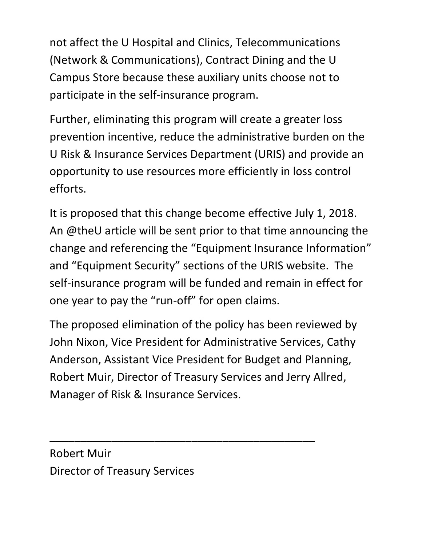not affect the U Hospital and Clinics, Telecommunications (Network & Communications), Contract Dining and the U Campus Store because these auxiliary units choose not to participate in the self-insurance program.

Further, eliminating this program will create a greater loss prevention incentive, reduce the administrative burden on the U Risk & Insurance Services Department (URIS) and provide an opportunity to use resources more efficiently in loss control efforts.

It is proposed that this change become effective July 1, 2018. An @theU article will be sent prior to that time announcing the change and referencing the "Equipment Insurance Information" and "Equipment Security" sections of the URIS website. The self-insurance program will be funded and remain in effect for one year to pay the "run-off" for open claims.

The proposed elimination of the policy has been reviewed by John Nixon, Vice President for Administrative Services, Cathy Anderson, Assistant Vice President for Budget and Planning, Robert Muir, Director of Treasury Services and Jerry Allred, Manager of Risk & Insurance Services.

\_\_\_\_\_\_\_\_\_\_\_\_\_\_\_\_\_\_\_\_\_\_\_\_\_\_\_\_\_\_\_\_\_\_\_\_\_\_\_\_\_\_\_

Robert Muir Director of Treasury Services